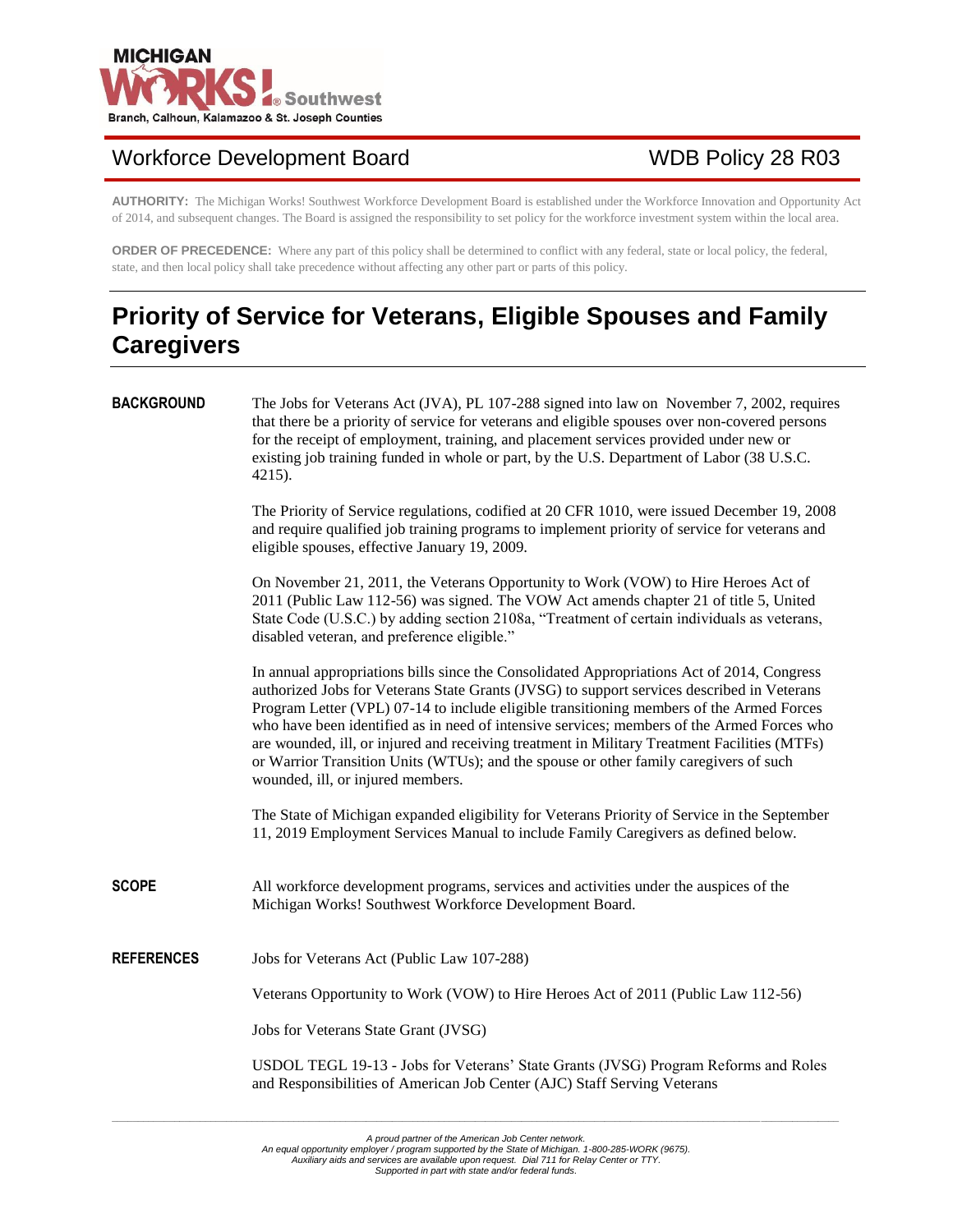

## Workforce Development Board WDB Policy 28 R03

**AUTHORITY:** The Michigan Works! Southwest Workforce Development Board is established under the Workforce Innovation and Opportunity Act of 2014, and subsequent changes. The Board is assigned the responsibility to set policy for the workforce investment system within the local area.

**ORDER OF PRECEDENCE:** Where any part of this policy shall be determined to conflict with any federal, state or local policy, the federal, state, and then local policy shall take precedence without affecting any other part or parts of this policy.

## **Priority of Service for Veterans, Eligible Spouses and Family Caregivers**

| <b>BACKGROUND</b> | The Jobs for Veterans Act (JVA), PL 107-288 signed into law on November 7, 2002, requires<br>that there be a priority of service for veterans and eligible spouses over non-covered persons<br>for the receipt of employment, training, and placement services provided under new or<br>existing job training funded in whole or part, by the U.S. Department of Labor (38 U.S.C.<br>4215).                                                                                                                                                                                                                      |  |  |
|-------------------|------------------------------------------------------------------------------------------------------------------------------------------------------------------------------------------------------------------------------------------------------------------------------------------------------------------------------------------------------------------------------------------------------------------------------------------------------------------------------------------------------------------------------------------------------------------------------------------------------------------|--|--|
|                   | The Priority of Service regulations, codified at 20 CFR 1010, were issued December 19, 2008<br>and require qualified job training programs to implement priority of service for veterans and<br>eligible spouses, effective January 19, 2009.                                                                                                                                                                                                                                                                                                                                                                    |  |  |
|                   | On November 21, 2011, the Veterans Opportunity to Work (VOW) to Hire Heroes Act of<br>2011 (Public Law 112-56) was signed. The VOW Act amends chapter 21 of title 5, United<br>State Code (U.S.C.) by adding section 2108a, "Treatment of certain individuals as veterans,<br>disabled veteran, and preference eligible."                                                                                                                                                                                                                                                                                        |  |  |
|                   | In annual appropriations bills since the Consolidated Appropriations Act of 2014, Congress<br>authorized Jobs for Veterans State Grants (JVSG) to support services described in Veterans<br>Program Letter (VPL) 07-14 to include eligible transitioning members of the Armed Forces<br>who have been identified as in need of intensive services; members of the Armed Forces who<br>are wounded, ill, or injured and receiving treatment in Military Treatment Facilities (MTFs)<br>or Warrior Transition Units (WTUs); and the spouse or other family caregivers of such<br>wounded, ill, or injured members. |  |  |
|                   | The State of Michigan expanded eligibility for Veterans Priority of Service in the September<br>11, 2019 Employment Services Manual to include Family Caregivers as defined below.                                                                                                                                                                                                                                                                                                                                                                                                                               |  |  |
| <b>SCOPE</b>      | All workforce development programs, services and activities under the auspices of the<br>Michigan Works! Southwest Workforce Development Board.                                                                                                                                                                                                                                                                                                                                                                                                                                                                  |  |  |
| <b>REFERENCES</b> | Jobs for Veterans Act (Public Law 107-288)                                                                                                                                                                                                                                                                                                                                                                                                                                                                                                                                                                       |  |  |
|                   | Veterans Opportunity to Work (VOW) to Hire Heroes Act of 2011 (Public Law 112-56)                                                                                                                                                                                                                                                                                                                                                                                                                                                                                                                                |  |  |
|                   | Jobs for Veterans State Grant (JVSG)                                                                                                                                                                                                                                                                                                                                                                                                                                                                                                                                                                             |  |  |
|                   | USDOL TEGL 19-13 - Jobs for Veterans' State Grants (JVSG) Program Reforms and Roles<br>and Responsibilities of American Job Center (AJC) Staff Serving Veterans                                                                                                                                                                                                                                                                                                                                                                                                                                                  |  |  |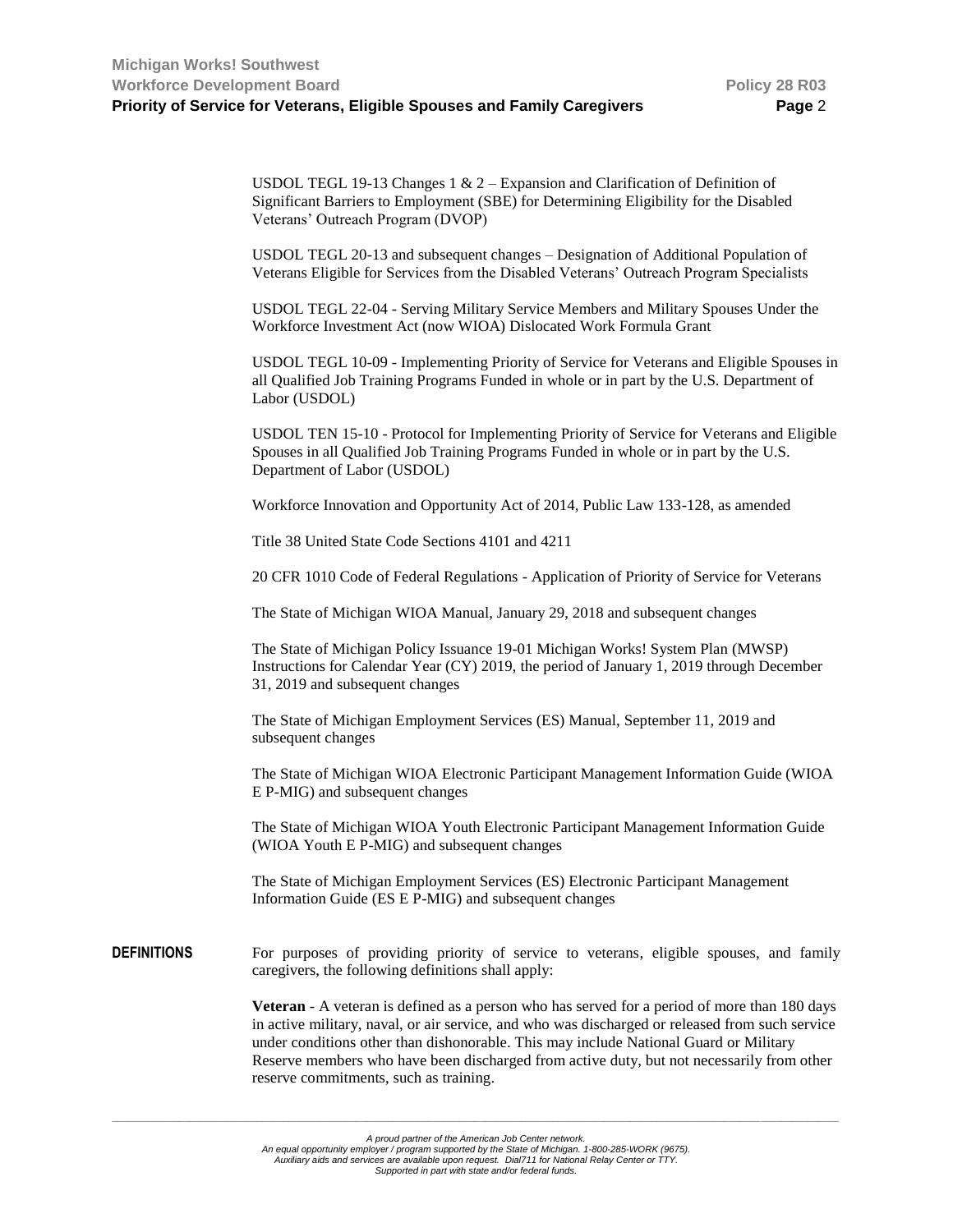USDOL TEGL 19-13 Changes 1  $\&$  2 – Expansion and Clarification of Definition of Significant Barriers to Employment (SBE) for Determining Eligibility for the Disabled Veterans' Outreach Program (DVOP)

USDOL TEGL 20-13 and subsequent changes – Designation of Additional Population of Veterans Eligible for Services from the Disabled Veterans' Outreach Program Specialists

USDOL TEGL 22-04 - Serving Military Service Members and Military Spouses Under the Workforce Investment Act (now WIOA) Dislocated Work Formula Grant

USDOL TEGL 10-09 - Implementing Priority of Service for Veterans and Eligible Spouses in all Qualified Job Training Programs Funded in whole or in part by the U.S. Department of Labor (USDOL)

USDOL TEN 15-10 - Protocol for Implementing Priority of Service for Veterans and Eligible Spouses in all Qualified Job Training Programs Funded in whole or in part by the U.S. Department of Labor (USDOL)

Workforce Innovation and Opportunity Act of 2014, Public Law 133-128, as amended

Title 38 United State Code Sections 4101 and 4211

20 CFR 1010 Code of Federal Regulations - Application of Priority of Service for Veterans

The State of Michigan WIOA Manual, January 29, 2018 and subsequent changes

The State of Michigan Policy Issuance 19-01 Michigan Works! System Plan (MWSP) Instructions for Calendar Year (CY) 2019, the period of January 1, 2019 through December 31, 2019 and subsequent changes

The State of Michigan Employment Services (ES) Manual, September 11, 2019 and subsequent changes

The State of Michigan WIOA Electronic Participant Management Information Guide (WIOA E P-MIG) and subsequent changes

The State of Michigan WIOA Youth Electronic Participant Management Information Guide (WIOA Youth E P-MIG) and subsequent changes

The State of Michigan Employment Services (ES) Electronic Participant Management Information Guide (ES E P-MIG) and subsequent changes

**DEFINITIONS** For purposes of providing priority of service to veterans, eligible spouses, and family caregivers, the following definitions shall apply:

> **Veteran** - A veteran is defined as a person who has served for a period of more than 180 days in active military, naval, or air service, and who was discharged or released from such service under conditions other than dishonorable. This may include National Guard or Military Reserve members who have been discharged from active duty, but not necessarily from other reserve commitments, such as training.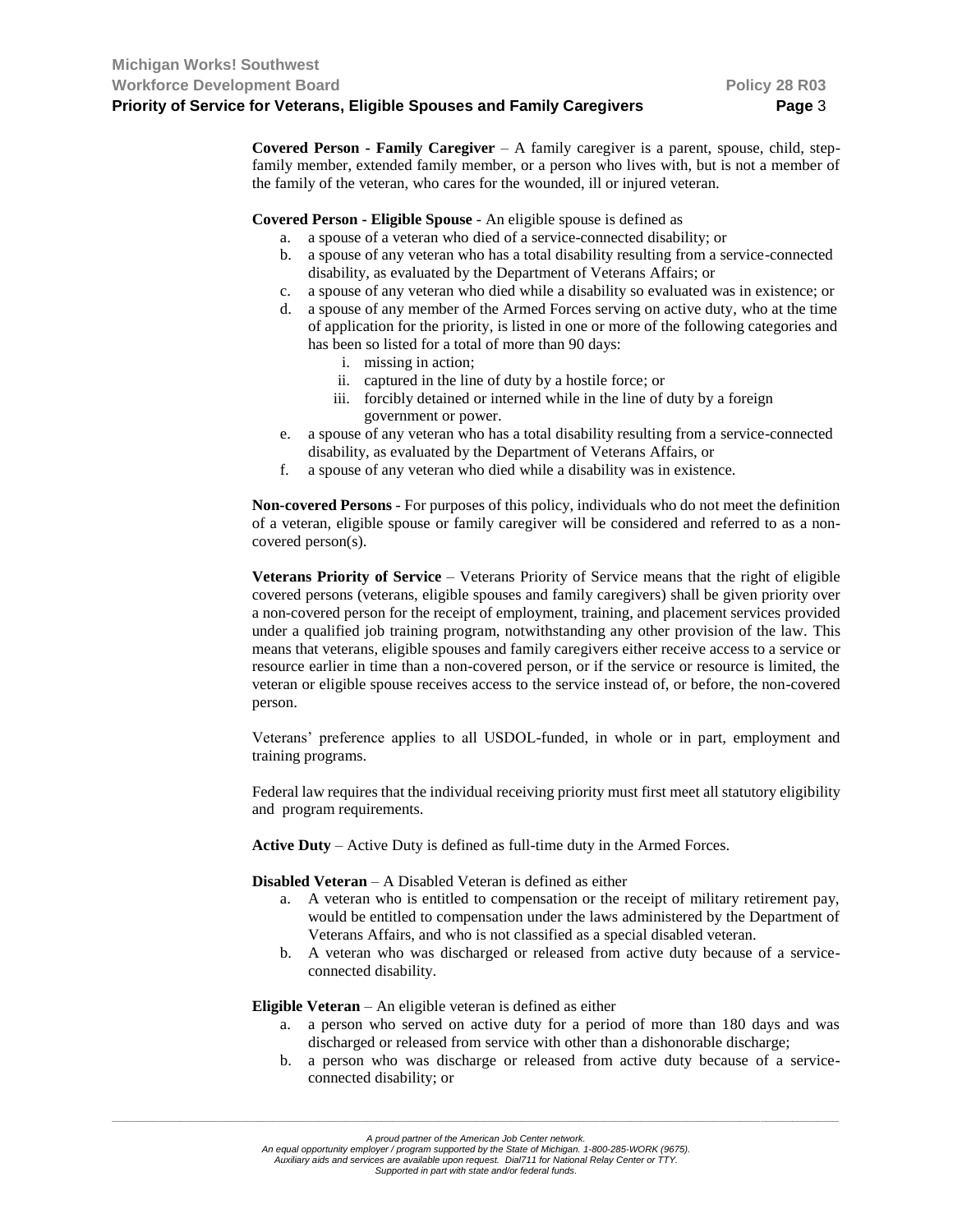**Covered Person - Family Caregiver** – A family caregiver is a parent, spouse, child, stepfamily member, extended family member, or a person who lives with, but is not a member of the family of the veteran, who cares for the wounded, ill or injured veteran.

**Covered Person - Eligible Spouse** - An eligible spouse is defined as

- a. a spouse of a veteran who died of a service-connected disability; or
- b. a spouse of any veteran who has a total disability resulting from a service-connected disability, as evaluated by the Department of Veterans Affairs; or
- c. a spouse of any veteran who died while a disability so evaluated was in existence; or
- d. a spouse of any member of the Armed Forces serving on active duty, who at the time of application for the priority, is listed in one or more of the following categories and has been so listed for a total of more than 90 days:
	- i. missing in action;
	- ii. captured in the line of duty by a hostile force; or
	- iii. forcibly detained or interned while in the line of duty by a foreign government or power.
- e. a spouse of any veteran who has a total disability resulting from a service-connected disability, as evaluated by the Department of Veterans Affairs, or
- f. a spouse of any veteran who died while a disability was in existence.

**Non-covered Persons** - For purposes of this policy, individuals who do not meet the definition of a veteran, eligible spouse or family caregiver will be considered and referred to as a noncovered person(s).

**Veterans Priority of Service** – Veterans Priority of Service means that the right of eligible covered persons (veterans, eligible spouses and family caregivers) shall be given priority over a non-covered person for the receipt of employment, training, and placement services provided under a qualified job training program, notwithstanding any other provision of the law. This means that veterans, eligible spouses and family caregivers either receive access to a service or resource earlier in time than a non-covered person, or if the service or resource is limited, the veteran or eligible spouse receives access to the service instead of, or before, the non-covered person.

Veterans' preference applies to all USDOL-funded, in whole or in part, employment and training programs.

Federal law requires that the individual receiving priority must first meet all statutory eligibility and program requirements.

**Active Duty** – Active Duty is defined as full-time duty in the Armed Forces.

**Disabled Veteran** – A Disabled Veteran is defined as either

- a. A veteran who is entitled to compensation or the receipt of military retirement pay, would be entitled to compensation under the laws administered by the Department of Veterans Affairs, and who is not classified as a special disabled veteran.
- b. A veteran who was discharged or released from active duty because of a serviceconnected disability.

**Eligible Veteran** – An eligible veteran is defined as either

- a. a person who served on active duty for a period of more than 180 days and was discharged or released from service with other than a dishonorable discharge;
- b. a person who was discharge or released from active duty because of a serviceconnected disability; or

*A proud partner of the American Job Center network.*

*An equal opportunity employer / program supported by the State of Michigan. 1-800-285-WORK (9675). Auxiliary aids and services are available upon request. Dial711 for National Relay Center or TTY.*

*Supported in part with state and/or federal funds.*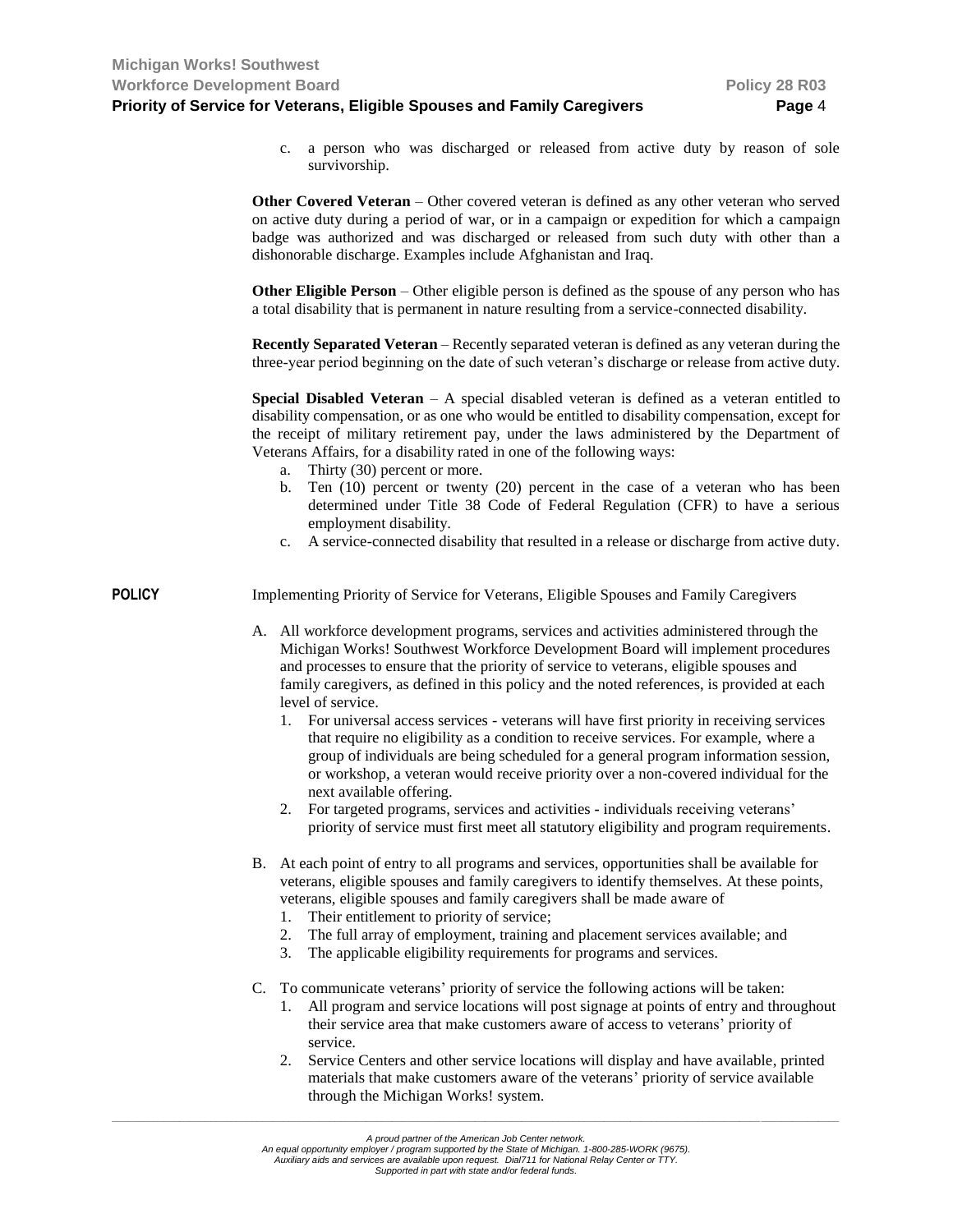- c. a person who was discharged or released from active duty by reason of sole survivorship. **Other Covered Veteran** – Other covered veteran is defined as any other veteran who served on active duty during a period of war, or in a campaign or expedition for which a campaign badge was authorized and was discharged or released from such duty with other than a dishonorable discharge. Examples include Afghanistan and Iraq. **Other Eligible Person** – Other eligible person is defined as the spouse of any person who has a total disability that is permanent in nature resulting from a service-connected disability. **Recently Separated Veteran** – Recently separated veteran is defined as any veteran during the three-year period beginning on the date of such veteran's discharge or release from active duty. **Special Disabled Veteran** – A special disabled veteran is defined as a veteran entitled to disability compensation, or as one who would be entitled to disability compensation, except for the receipt of military retirement pay, under the laws administered by the Department of Veterans Affairs, for a disability rated in one of the following ways: a. Thirty (30) percent or more. b. Ten (10) percent or twenty (20) percent in the case of a veteran who has been determined under Title 38 Code of Federal Regulation (CFR) to have a serious employment disability. c. A service-connected disability that resulted in a release or discharge from active duty. **POLICY** Implementing Priority of Service for Veterans, Eligible Spouses and Family Caregivers A. All workforce development programs, services and activities administered through the Michigan Works! Southwest Workforce Development Board will implement procedures and processes to ensure that the priority of service to veterans, eligible spouses and family caregivers, as defined in this policy and the noted references, is provided at each level of service. 1. For universal access services - veterans will have first priority in receiving services that require no eligibility as a condition to receive services. For example, where a group of individuals are being scheduled for a general program information session, or workshop, a veteran would receive priority over a non-covered individual for the next available offering. 2. For targeted programs, services and activities **-** individuals receiving veterans' priority of service must first meet all statutory eligibility and program requirements. B. At each point of entry to all programs and services, opportunities shall be available for veterans, eligible spouses and family caregivers to identify themselves. At these points, veterans, eligible spouses and family caregivers shall be made aware of 1. Their entitlement to priority of service; 2. The full array of employment, training and placement services available; and 3. The applicable eligibility requirements for programs and services. C. To communicate veterans' priority of service the following actions will be taken: 1. All program and service locations will post signage at points of entry and throughout their service area that make customers aware of access to veterans' priority of service.
	- 2. Service Centers and other service locations will display and have available, printed materials that make customers aware of the veterans' priority of service available through the Michigan Works! system.

*An equal opportunity employer / program supported by the State of Michigan. 1-800-285-WORK (9675). Auxiliary aids and services are available upon request. Dial711 for National Relay Center or TTY.*

*A proud partner of the American Job Center network.*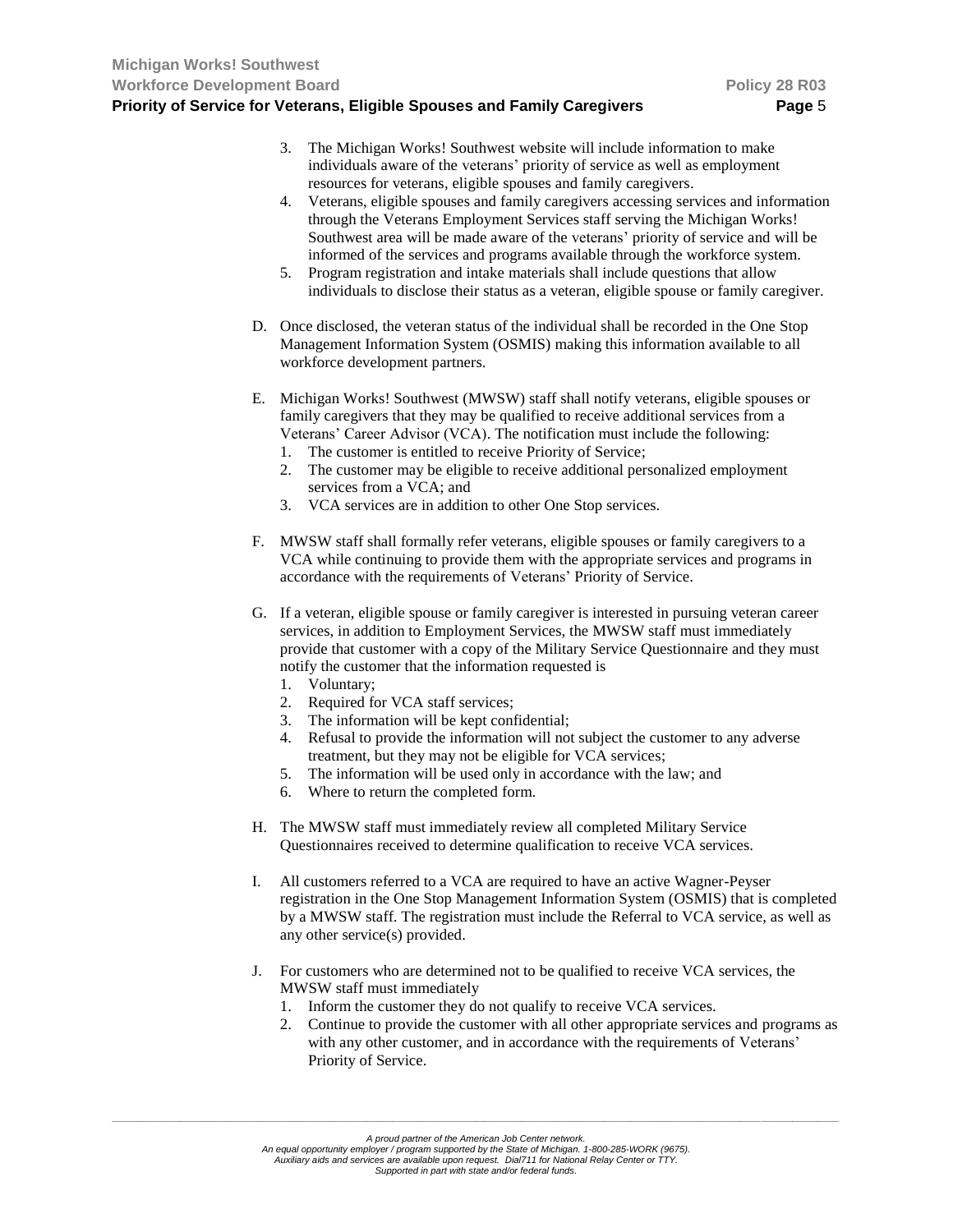- 3. The Michigan Works! Southwest website will include information to make individuals aware of the veterans' priority of service as well as employment resources for veterans, eligible spouses and family caregivers.
- 4. Veterans, eligible spouses and family caregivers accessing services and information through the Veterans Employment Services staff serving the Michigan Works! Southwest area will be made aware of the veterans' priority of service and will be informed of the services and programs available through the workforce system.
- 5. Program registration and intake materials shall include questions that allow individuals to disclose their status as a veteran, eligible spouse or family caregiver.
- D. Once disclosed, the veteran status of the individual shall be recorded in the One Stop Management Information System (OSMIS) making this information available to all workforce development partners.
- E. Michigan Works! Southwest (MWSW) staff shall notify veterans, eligible spouses or family caregivers that they may be qualified to receive additional services from a Veterans' Career Advisor (VCA). The notification must include the following:
	- 1. The customer is entitled to receive Priority of Service;
	- 2. The customer may be eligible to receive additional personalized employment services from a VCA; and
	- 3. VCA services are in addition to other One Stop services.
- F. MWSW staff shall formally refer veterans, eligible spouses or family caregivers to a VCA while continuing to provide them with the appropriate services and programs in accordance with the requirements of Veterans' Priority of Service.
- G. If a veteran, eligible spouse or family caregiver is interested in pursuing veteran career services, in addition to Employment Services, the MWSW staff must immediately provide that customer with a copy of the Military Service Questionnaire and they must notify the customer that the information requested is
	- 1. Voluntary;
	- 2. Required for VCA staff services;
	- 3. The information will be kept confidential;
	- 4. Refusal to provide the information will not subject the customer to any adverse treatment, but they may not be eligible for VCA services;
	- 5. The information will be used only in accordance with the law; and
	- 6. Where to return the completed form.
- H. The MWSW staff must immediately review all completed Military Service Questionnaires received to determine qualification to receive VCA services.
- I. All customers referred to a VCA are required to have an active Wagner-Peyser registration in the One Stop Management Information System (OSMIS) that is completed by a MWSW staff. The registration must include the Referral to VCA service, as well as any other service(s) provided.
- J. For customers who are determined not to be qualified to receive VCA services, the MWSW staff must immediately
	- 1. Inform the customer they do not qualify to receive VCA services.
	- 2. Continue to provide the customer with all other appropriate services and programs as with any other customer, and in accordance with the requirements of Veterans' Priority of Service.

*An equal opportunity employer / program supported by the State of Michigan. 1-800-285-WORK (9675). Auxiliary aids and services are available upon request. Dial711 for National Relay Center or TTY.*

*Supported in part with state and/or federal funds.*

*A proud partner of the American Job Center network.*